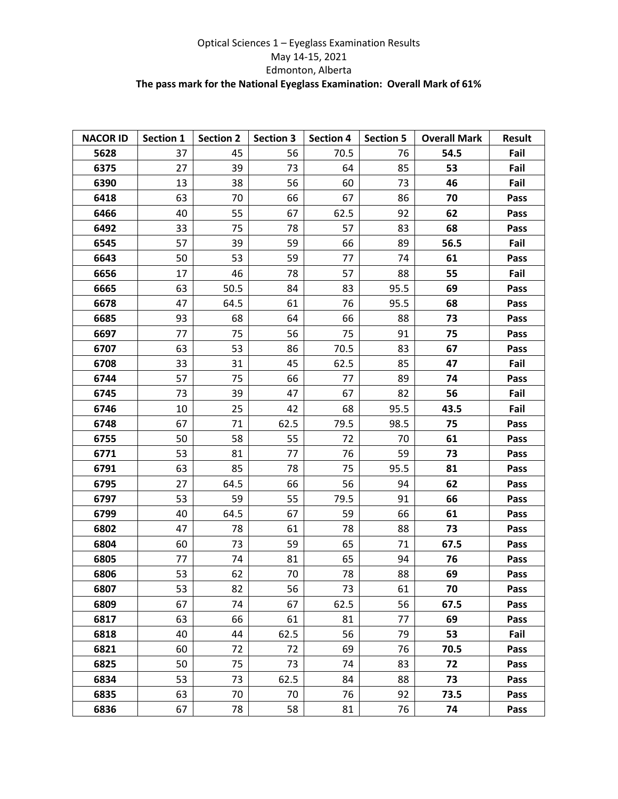## Optical Sciences 1 – Eyeglass Examination Results May 14-15, 2021 Edmonton, Alberta **The pass mark for the National Eyeglass Examination: Overall Mark of 61%**

| <b>NACOR ID</b> | Section 1 | <b>Section 2</b> | <b>Section 3</b> | <b>Section 4</b> | <b>Section 5</b> | <b>Overall Mark</b> | <b>Result</b> |
|-----------------|-----------|------------------|------------------|------------------|------------------|---------------------|---------------|
| 5628            | 37        | 45               | 56               | 70.5             | 76               | 54.5                | Fail          |
| 6375            | 27        | 39               | 73               | 64               | 85               | 53                  | Fail          |
| 6390            | 13        | 38               | 56               | 60               | 73               | 46                  | Fail          |
| 6418            | 63        | 70               | 66               | 67               | 86               | 70                  | Pass          |
| 6466            | 40        | 55               | 67               | 62.5             | 92               | 62                  | Pass          |
| 6492            | 33        | 75               | 78               | 57               | 83               | 68                  | Pass          |
| 6545            | 57        | 39               | 59               | 66               | 89               | 56.5                | Fail          |
| 6643            | 50        | 53               | 59               | 77               | 74               | 61                  | Pass          |
| 6656            | 17        | 46               | 78               | 57               | 88               | 55                  | Fail          |
| 6665            | 63        | 50.5             | 84               | 83               | 95.5             | 69                  | Pass          |
| 6678            | 47        | 64.5             | 61               | 76               | 95.5             | 68                  | Pass          |
| 6685            | 93        | 68               | 64               | 66               | 88               | 73                  | Pass          |
| 6697            | 77        | 75               | 56               | 75               | 91               | 75                  | Pass          |
| 6707            | 63        | 53               | 86               | 70.5             | 83               | 67                  | Pass          |
| 6708            | 33        | 31               | 45               | 62.5             | 85               | 47                  | Fail          |
| 6744            | 57        | 75               | 66               | 77               | 89               | 74                  | Pass          |
| 6745            | 73        | 39               | 47               | 67               | 82               | 56                  | Fail          |
| 6746            | 10        | 25               | 42               | 68               | 95.5             | 43.5                | Fail          |
| 6748            | 67        | 71               | 62.5             | 79.5             | 98.5             | 75                  | Pass          |
| 6755            | 50        | 58               | 55               | 72               | 70               | 61                  | Pass          |
| 6771            | 53        | 81               | 77               | 76               | 59               | 73                  | Pass          |
| 6791            | 63        | 85               | 78               | 75               | 95.5             | 81                  | Pass          |
| 6795            | 27        | 64.5             | 66               | 56               | 94               | 62                  | Pass          |
| 6797            | 53        | 59               | 55               | 79.5             | 91               | 66                  | Pass          |
| 6799            | 40        | 64.5             | 67               | 59               | 66               | 61                  | Pass          |
| 6802            | 47        | 78               | 61               | 78               | 88               | 73                  | Pass          |
| 6804            | 60        | 73               | 59               | 65               | 71               | 67.5                | Pass          |
| 6805            | 77        | 74               | 81               | 65               | 94               | 76                  | Pass          |
| 6806            | 53        | 62               | 70               | 78               | 88               | 69                  | Pass          |
| 6807            | 53        | 82               | 56               | 73               | 61               | 70                  | Pass          |
| 6809            | 67        | 74               | 67               | 62.5             | 56               | 67.5                | Pass          |
| 6817            | 63        | 66               | 61               | 81               | 77               | 69                  | Pass          |
| 6818            | 40        | 44               | 62.5             | 56               | 79               | 53                  | Fail          |
| 6821            | 60        | 72               | 72               | 69               | 76               | 70.5                | Pass          |
| 6825            | 50        | 75               | 73               | 74               | 83               | 72                  | Pass          |
| 6834            | 53        | 73               | 62.5             | 84               | 88               | 73                  | Pass          |
| 6835            | 63        | 70               | 70               | 76               | 92               | 73.5                | Pass          |
| 6836            | 67        | 78               | 58               | 81               | 76               | 74                  | Pass          |